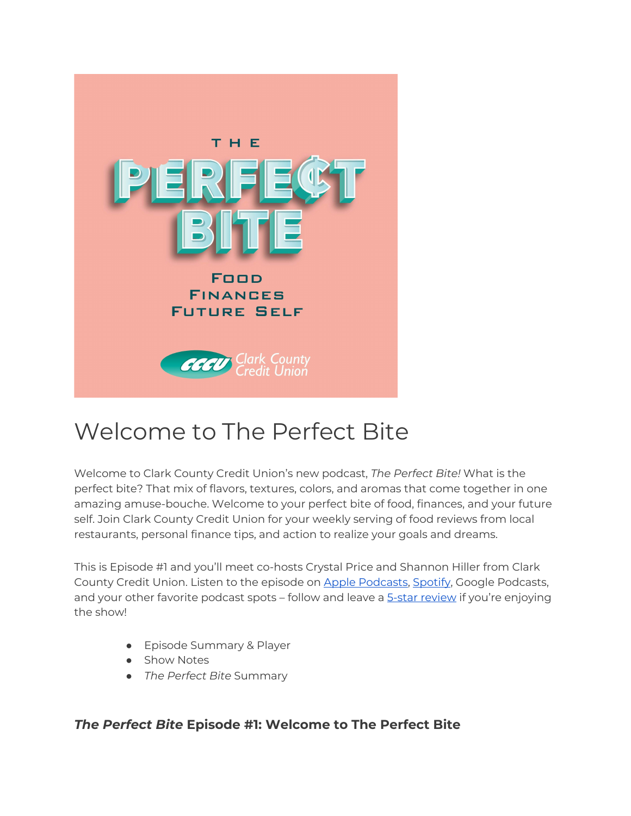

# Welcome to The Perfect Bite

Welcome to Clark County Credit Union's new podcast, *The Perfect Bite!* What is the perfect bite? That mix of flavors, textures, colors, and aromas that come together in one amazing amuse-bouche. Welcome to your perfect bite of food, finances, and your future self. Join Clark County Credit Union for your weekly serving of food reviews from local restaurants, personal finance tips, and action to realize your goals and dreams.

This is Episode #1 and you'll meet co-hosts Crystal Price and Shannon Hiller from Clark County Credit Union. Listen to the episode on [Apple Podcasts,](https://podcasts.apple.com/us/podcast/the-perfect-bite/id1604656448) [Spotify](https://open.spotify.com/show/7tNPJZBNHabGWEFmjnHaxR?si=a0a7808911264628&nd=1), Google Podcasts, and your other favorite podcast spots – follow and leave a [5-star review](https://podcasts.apple.com/us/podcast/the-perfect-bite/id1604656448) if you're enjoying the show!

- Episode Summary & Player
- Show Notes
- *The Perfect Bite* Summary

#### *The Perfect Bite* **Episode #1: Welcome to The Perfect Bite**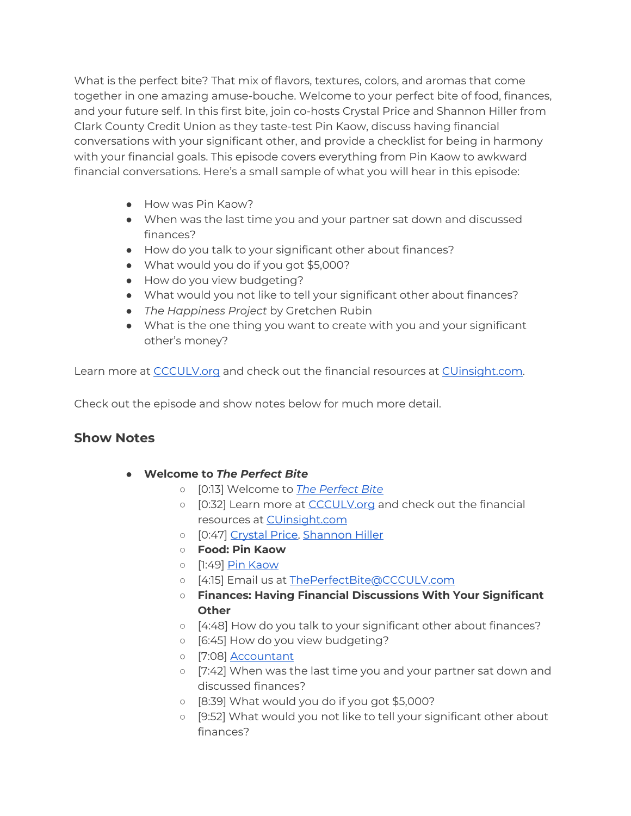What is the perfect bite? That mix of flavors, textures, colors, and aromas that come together in one amazing amuse-bouche. Welcome to your perfect bite of food, finances, and your future self. In this first bite, join co-hosts Crystal Price and Shannon Hiller from Clark County Credit Union as they taste-test Pin Kaow, discuss having financial conversations with your significant other, and provide a checklist for being in harmony with your financial goals. This episode covers everything from Pin Kaow to awkward financial conversations. Here's a small sample of what you will hear in this episode:

- How was Pin Kaow?
- When was the last time you and your partner sat down and discussed finances?
- How do you talk to your significant other about finances?
- What would you do if you got \$5,000?
- How do you view budgeting?
- What would you not like to tell your significant other about finances?
- *The Happiness Project* by Gretchen Rubin
- What is the one thing you want to create with you and your significant other's money?

Learn more at [CCCULV.org](https://www.ccculv.org/) and check out the financial resources at [CUinsight.com](https://www.cuinsight.com/).

Check out the episode and show notes below for much more detail.

#### **Show Notes**

- **Welcome to** *The Perfect Bite*
	- [0:13] Welcome to *[The Perfect Bite](https://www.ccculv.org/)*
	- o [0:32] Learn more at **[CCCULV.org](https://www.ccculv.org/)** and check out the financial resources at [CUinsight.com](https://www.cuinsight.com/)
	- [0:47] [Crystal Price](https://www.ccculv.org/Our-Mission.aspx), [Shannon Hiller](https://www.ccculv.org/Our-Mission.aspx)
	- **Food: Pin Kaow**
	- [1:49] [Pin Kaow](http://www.pinkaow.com/)
	- [4:15] Email us at ThePerfectBite@CCCULV.com
	- **Finances: Having Financial Discussions With Your Significant Other**
	- [4:48] How do you talk to your significant other about finances?
	- [6:45] How do you view budgeting?
	- o [7:08] **Accountant**
	- [7:42] When was the last time you and your partner sat down and discussed finances?
	- [8:39] What would you do if you got \$5,000?
	- [9:52] What would you not like to tell your significant other about finances?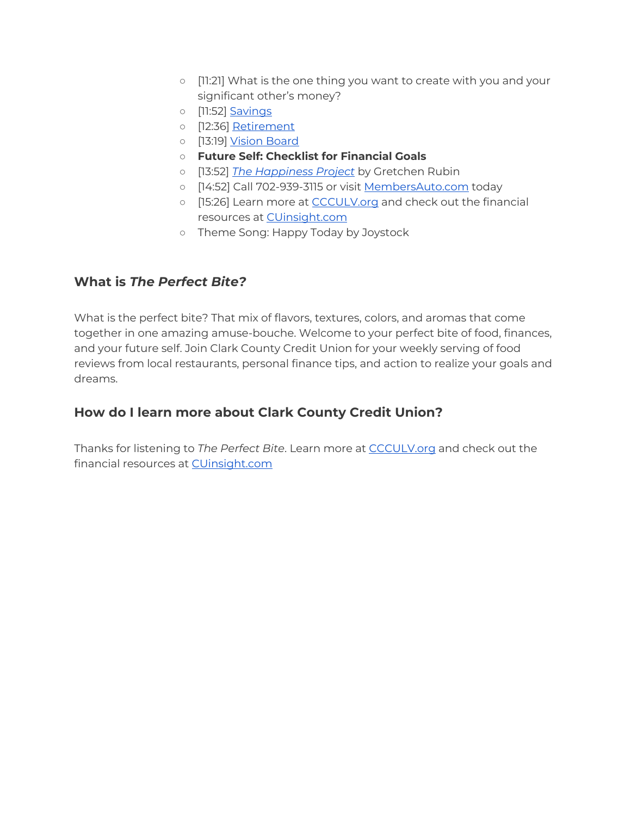- [11:21] What is the one thing you want to create with you and your significant other's money?
- [11:52] [Savings](https://www.ccculv.org/Savings-Accounts.aspx)
- [12:36] [Retirement](https://www.ccculv.org/Individual-Retirement-Account.aspx)
- o [13:19] <u>[Vision Board](https://www.oprahdaily.com/life/a29959841/how-to-make-a-vision-board/)</u>
- **Future Self: Checklist for Financial Goals**
- [13:52] *[The Happiness Project](https://gretchenrubin.com/books/the-happiness-project/about-the-book/)* by Gretchen Rubin
- o [14:52] Call 702-939-3115 or visit [MembersAuto.com](https://www.membersauto.com/) today
- o [15:26] Learn more at **[CCCULV.org](https://www.ccculv.org/)** and check out the financial resources at [CUinsight.com](https://www.cuinsight.com/)
- Theme Song: Happy Today by Joystock

### **What is** *The Perfect Bite?*

What is the perfect bite? That mix of flavors, textures, colors, and aromas that come together in one amazing amuse-bouche. Welcome to your perfect bite of food, finances, and your future self. Join Clark County Credit Union for your weekly serving of food reviews from local restaurants, personal finance tips, and action to realize your goals and dreams.

## **How do I learn more about Clark County Credit Union?**

Thanks for listening to *The Perfect Bite*. Learn more at [CCCULV.org](https://www.ccculv.org/) and check out the financial resources at [CUinsight.com](https://www.cuinsight.com/)